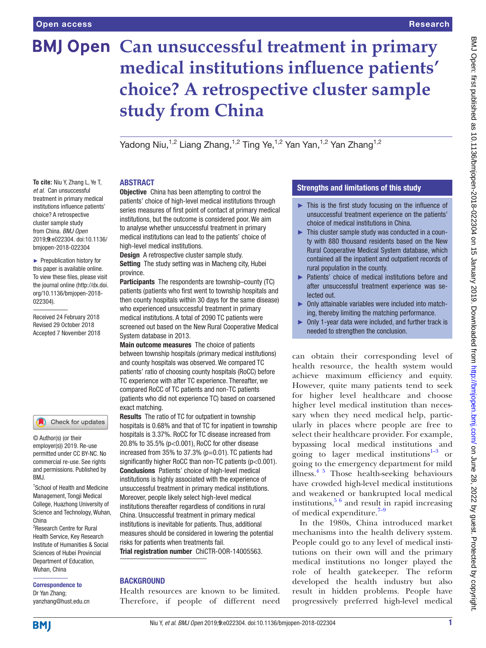**To cite:** Niu Y, Zhang L, Ye T, *et al*. Can unsuccessful treatment in primary medical institutions influence patients' choice? A retrospective cluster sample study from China. *BMJ Open* 2019;9:e022304. doi:10.1136/ bmjopen-2018-022304 ► Prepublication history for this paper is available online. To view these files, please visit the journal online [\(http://dx.doi.](http://dx.doi.org/10.1136/bmjopen-2018-022304) [org/10.1136/bmjopen-2018-](http://dx.doi.org/10.1136/bmjopen-2018-022304)

[022304\)](http://dx.doi.org/10.1136/bmjopen-2018-022304).

Received 24 February 2018 Revised 29 October 2018 Accepted 7 November 2018

# **BMJ Open Can unsuccessful treatment in primary medical institutions influence patients' choice? A retrospective cluster sample study from China**

Yadong Niu,<sup>1,2</sup> Liang Zhang,<sup>1,2</sup> Ting Ye,<sup>1,2</sup> Yan Yan,<sup>1,2</sup> Yan Zhang<sup>1,2</sup>

## **ABSTRACT**

**Objective** China has been attempting to control the patients' choice of high-level medical institutions through series measures of first point of contact at primary medical institutions, but the outcome is considered poor. We aim to analyse whether unsuccessful treatment in primary medical institutions can lead to the patients' choice of high-level medical institutions.

**Design** A retrospective cluster sample study. Setting The study setting was in Macheng city, Hubei province.

Participants The respondents are township–county (TC) patients (patients who first went to township hospitals and then county hospitals within 30 days for the same disease) who experienced unsuccessful treatment in primary medical institutions. A total of 2090 TC patients were screened out based on the New Rural Cooperative Medical System database in 2013.

Main outcome measures The choice of patients between township hospitals (primary medical institutions) and county hospitals was observed. We compared TC patients' ratio of choosing county hospitals (RoCC) before TC experience with after TC experience. Thereafter, we compared RoCC of TC patients and non-TC patients (patients who did not experience TC) based on coarsened exact matching.

Results The ratio of TC for outpatient in township hospitals is 0.68% and that of TC for inpatient in township hospitals is 3.37%. RoCC for TC disease increased from 20.8% to 35.5% (p<0.001), RoCC for other disease increased from 35% to 37.3% ( $p=0.01$ ). TC patients had significantly higher RoCC than non-TC patients (p<0.001). Conclusions Patients' choice of high-level medical institutions is highly associated with the experience of unsuccessful treatment in primary medical institutions. Moreover, people likely select high-level medical institutions thereafter regardless of conditions in rural China. Unsuccessful treatment in primary medical institutions is inevitable for patients. Thus, additional measures should be considered in lowering the potential risks for patients when treatments fail.

Trial registration number ChiCTR-OOR-14005563.

## **BACKGROUND**

Health resources are known to be limited. Therefore, if people of different need

## Strengths and limitations of this study

- ► This is the first study focusing on the influence of unsuccessful treatment experience on the patients' choice of medical institutions in China.
- ► This cluster sample study was conducted in a county with 880 thousand residents based on the New Rural Cooperative Medical System database, which contained all the inpatient and outpatient records of rural population in the county.
- ► Patients' choice of medical institutions before and after unsuccessful treatment experience was selected out.
- ► Only attainable variables were included into matching, thereby limiting the matching performance.
- ► Only 1-year data were included, and further track is needed to strengthen the conclusion.

can obtain their corresponding level of health resource, the health system would achieve maximum efficiency and equity. However, quite many patients tend to seek for higher level healthcare and choose higher level medical institution than necessary when they need medical help, particularly in places where people are free to select their healthcare provider. For example, bypassing local medical institutions and going to lager medical institutions $1-3$  or going to the emergency department for mild illness.[4 5](#page-6-1) Those health-seeking behaviours have crowded high-level medical institutions and weakened or bankrupted local medical institutions,  $5^6$  and result in rapid increasing of medical expenditure.[7–9](#page-6-3)

In the 1980s, China introduced market mechanisms into the health delivery system. People could go to any level of medical institutions on their own will and the primary medical institutions no longer played the role of health gatekeeper. The reform developed the health industry but also result in hidden problems. People have progressively preferred high-level medical

#### College, Huazhong University of Science and Technology, Wuhan,

© Author(s) (or their employer(s)) 2019. Re-use permitted under CC BY-NC. No commercial re-use. See rights and permissions. Published by

BMJ.

China <sup>2</sup>Research Centre for Rural Health Service, Key Research Institute of Humanities & Social Sciences of Hubei Provincial Department of Education, Wuhan, China

1 School of Health and Medicine Management, Tongji Medical

Check for updates

#### Correspondence to Dr Yan Zhang; yanzhang@hust.edu.cn

**BMI**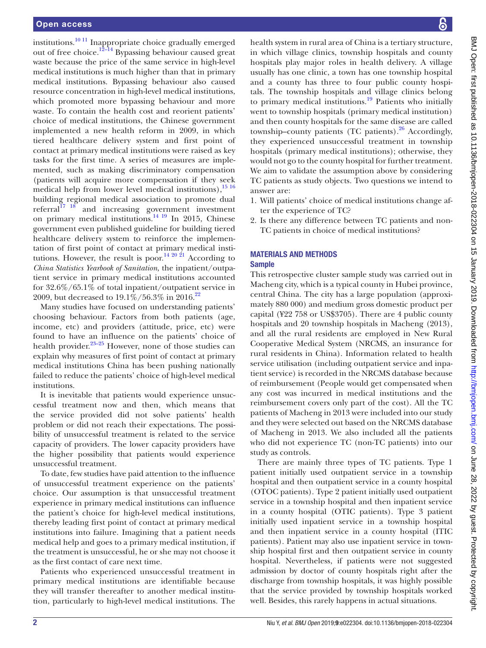institutions.[10 11](#page-6-4) Inappropriate choice gradually emerged out of free choice.<sup>12–14</sup> Bypassing behaviour caused great waste because the price of the same service in high-level medical institutions is much higher than that in primary medical institutions. Bypassing behaviour also caused resource concentration in high-level medical institutions, which promoted more bypassing behaviour and more waste. To contain the health cost and reorient patients' choice of medical institutions, the Chinese government implemented a new health reform in 2009, in which tiered healthcare delivery system and first point of contact at primary medical institutions were raised as key tasks for the first time. A series of measures are implemented, such as making discriminatory compensation (patients will acquire more compensation if they seek medical help from lower level medical institutions), $^{15}$  16 building regional medical association to promote dual referral $17 \frac{18}{7}$  and increasing government investment on primary medical institutions.<sup>14 19</sup> In 2015, Chinese government even published guideline for building tiered healthcare delivery system to reinforce the implementation of first point of contact at primary medical institutions. However, the result is poor.<sup>14 20 21</sup> According to *China Statistics Yearbook of Sanitation*, the inpatient/outpatient service in primary medical institutions accounted for 32.6%/65.1% of total inpatient/outpatient service in 2009, but decreased to 19.1%/56.3% in 2016.<sup>[22](#page-6-9)</sup>

Many studies have focused on understanding patients' choosing behaviour. Factors from both patients (age, income, etc) and providers (attitude, price, etc) were found to have an influence on the patients' choice of health provider. $23-25$  However, none of those studies can explain why measures of first point of contact at primary medical institutions China has been pushing nationally failed to reduce the patients' choice of high-level medical institutions.

It is inevitable that patients would experience unsuccessful treatment now and then, which means that the service provided did not solve patients' health problem or did not reach their expectations. The possibility of unsuccessful treatment is related to the service capacity of providers. The lower capacity providers have the higher possibility that patients would experience unsuccessful treatment.

To date, few studies have paid attention to the influence of unsuccessful treatment experience on the patients' choice. Our assumption is that unsuccessful treatment experience in primary medical institutions can influence the patient's choice for high-level medical institutions, thereby leading first point of contact at primary medical institutions into failure. Imagining that a patient needs medical help and goes to a primary medical institution, if the treatment is unsuccessful, he or she may not choose it as the first contact of care next time.

Patients who experienced unsuccessful treatment in primary medical institutions are identifiable because they will transfer thereafter to another medical institution, particularly to high-level medical institutions. The

health system in rural area of China is a tertiary structure, in which village clinics, township hospitals and county hospitals play major roles in health delivery. A village usually has one clinic, a town has one township hospital and a county has three to four public county hospitals. The township hospitals and village clinics belong to primary medical institutions.<sup>19</sup> Patients who initially went to township hospitals (primary medical institution) and then county hospitals for the same disease are called township–county patients (TC patients).<sup>26</sup> Accordingly, they experienced unsuccessful treatment in township hospitals (primary medical institutions); otherwise, they would not go to the county hospital for further treatment. We aim to validate the assumption above by considering TC patients as study objects. Two questions we intend to answer are:

- 1. Will patients' choice of medical institutions change after the experience of TC?
- 2. Is there any difference between TC patients and non-TC patients in choice of medical institutions?

#### Materials and methods Sample

This retrospective cluster sample study was carried out in Macheng city, which is a typical county in Hubei province, central China. The city has a large population (approximately 880 000) and medium gross domestic product per capital (¥22 758 or US\$3705). There are 4 public county hospitals and 20 township hospitals in Macheng (2013), and all the rural residents are employed in New Rural Cooperative Medical System (NRCMS, an insurance for rural residents in China). Information related to health service utilisation (including outpatient service and inpatient service) is recorded in the NRCMS database because of reimbursement (People would get compensated when any cost was incurred in medical institutions and the reimbursement covers only part of the cost). All the TC patients of Macheng in 2013 were included into our study and they were selected out based on the NRCMS database of Macheng in 2013. We also included all the patients who did not experience TC (non-TC patients) into our study as controls.

There are mainly three types of TC patients. Type 1 patient initially used outpatient service in a township hospital and then outpatient service in a county hospital (OTOC patients). Type 2 patient initially used outpatient service in a township hospital and then inpatient service in a county hospital (OTIC patients). Type 3 patient initially used inpatient service in a township hospital and then inpatient service in a county hospital (ITIC patients). Patient may also use inpatient service in township hospital first and then outpatient service in county hospital. Nevertheless, if patients were not suggested admission by doctor of county hospitals right after the discharge from township hospitals, it was highly possible that the service provided by township hospitals worked well. Besides, this rarely happens in actual situations.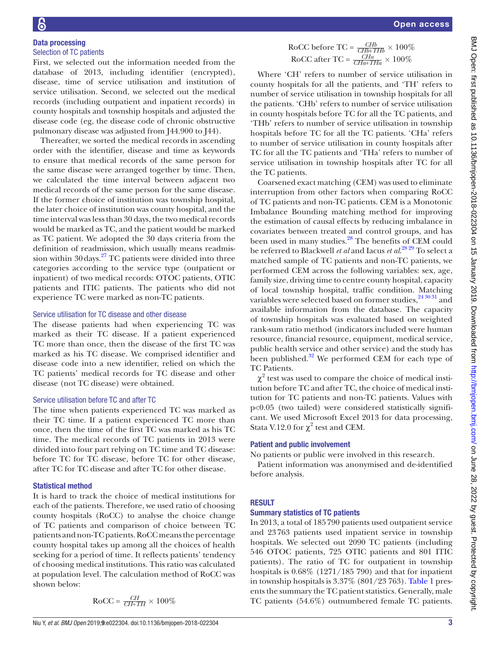#### Data processing Selection of TC patients

First, we selected out the information needed from the database of 2013, including identifier (encrypted), disease, time of service utilisation and institution of service utilisation. Second, we selected out the medical records (including outpatient and inpatient records) in county hospitals and township hospitals and adjusted the disease code (eg, the disease code of chronic obstructive pulmonary disease was adjusted from J44.900 to J44).

Thereafter, we sorted the medical records in ascending order with the identifier, disease and time as keywords to ensure that medical records of the same person for the same disease were arranged together by time. Then, we calculated the time interval between adjacent two medical records of the same person for the same disease. If the former choice of institution was township hospital, the later choice of institution was county hospital, and the time interval was less than 30 days, the two medical records would be marked as TC, and the patient would be marked as TC patient. We adopted the 30 days criteria from the definition of readmission, which usually means readmission within  $30 \, \text{days}$ . <sup>27</sup> TC patients were divided into three categories according to the service type (outpatient or inpatient) of two medical records: OTOC patients, OTIC patients and ITIC patients. The patients who did not experience TC were marked as non-TC patients.

#### Service utilisation for TC disease and other disease

The disease patients had when experiencing TC was marked as their TC disease. If a patient experienced TC more than once, then the disease of the first TC was marked as his TC disease. We comprised identifier and disease code into a new identifier, relied on which the TC patients' medical records for TC disease and other disease (not TC disease) were obtained.

#### Service utilisation before TC and after TC

The time when patients experienced TC was marked as their TC time. If a patient experienced TC more than once, then the time of the first TC was marked as his TC time. The medical records of TC patients in 2013 were divided into four part relying on TC time and TC disease: before TC for TC disease, before TC for other disease, after TC for TC disease and after TC for other disease.

#### Statistical method

It is hard to track the choice of medical institutions for each of the patients. Therefore, we used ratio of choosing county hospitals (RoCC) to analyse the choice change of TC patients and comparison of choice between TC patients and non-TC patients. RoCC means the percentage county hospital takes up among all the choices of health seeking for a period of time. It reflects patients' tendency of choosing medical institutions. This ratio was calculated at population level. The calculation method of RoCC was shown below:

$$
\text{RoCC}=\tfrac{CH}{CH+TH}\times 100\%
$$

**RoCC** before TC = 
$$
\frac{CHb}{CHb+THb} \times 100\%
$$
  
RoCC after TC =  $\frac{CHa}{CHa+THa} \times 100\%$ 

Where 'CH' refers to number of service utilisation in county hospitals for all the patients, and 'TH' refers to number of service utilisation in township hospitals for all the patients. 'CHb' refers to number of service utilisation in county hospitals before TC for all the TC patients, and 'THb' refers to number of service utilisation in township hospitals before TC for all the TC patients. 'CHa' refers to number of service utilisation in county hospitals after TC for all the TC patients and 'THa' refers to number of service utilisation in township hospitals after TC for all the TC patients.

Coarsened exact matching (CEM) was used to eliminate interruption from other factors when comparing RoCC of TC patients and non-TC patients. CEM is a Monotonic Imbalance Bounding matching method for improving the estimation of causal effects by reducing imbalance in covariates between treated and control groups, and has been used in many studies.<sup>[28](#page-6-14)</sup> The benefits of CEM could be referred to Blackwell *et al* and Iacus *et al*. [28 29](#page-6-14) To select a matched sample of TC patients and non-TC patients, we performed CEM across the following variables: sex, age, family size, driving time to centre county hospital, capacity of local township hospital, traffic condition. Matching variables were selected based on former studies,<sup>24 30 31</sup> and available information from the database. The capacity of township hospitals was evaluated based on weighted rank-sum ratio method (indicators included were human resource, financial resource, equipment, medical service, public health service and other service) and the study has been published. $32$  We performed CEM for each type of TC Patients.

 $\chi^2$  test was used to compare the choice of medical institution before TC and after TC, the choice of medical institution for TC patients and non-TC patients. Values with p<0.05 (two tailed) were considered statistically significant. We used Microsoft Excel 2013 for data processing, Stata V.12.0 for  $\chi^2$  test and CEM.

#### Patient and public involvement

No patients or public were involved in this research.

Patient information was anonymised and de-identified before analysis.

#### **RESULT**

#### Summary statistics of TC patients

In 2013, a total of 185790 patients used outpatient service and 23763 patients used inpatient service in township hospitals. We selected out 2090 TC patients (including 546 OTOC patients, 725 OTIC patients and 801 ITIC patients). The ratio of TC for outpatient in township hospitals is 0.68% (1271/185 790) and that for inpatient in township hospitals is 3.37% (801/23 763). [Table](#page-3-0) 1 presents the summary the TC patient statistics. Generally, male TC patients (54.6%) outnumbered female TC patients.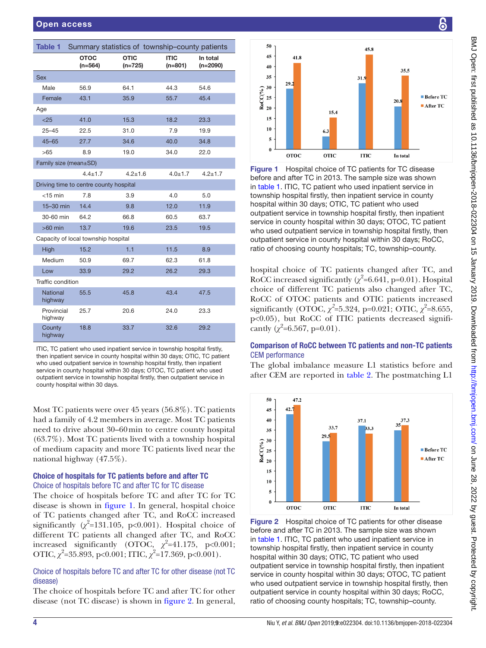<span id="page-3-0"></span>

| Table 1                                |                          | Summary statistics of township-county patients |                          |                        |  |  |  |
|----------------------------------------|--------------------------|------------------------------------------------|--------------------------|------------------------|--|--|--|
|                                        | <b>OTOC</b><br>$(n=564)$ | <b>OTIC</b><br>$(n=725)$                       | <b>ITIC</b><br>$(n=801)$ | In total<br>$(n=2090)$ |  |  |  |
| Sex                                    |                          |                                                |                          |                        |  |  |  |
| Male                                   | 56.9                     | 64.1                                           | 44.3                     | 54.6                   |  |  |  |
| Female                                 | 43.1                     | 35.9                                           | 55.7                     | 45.4                   |  |  |  |
| Age                                    |                          |                                                |                          |                        |  |  |  |
| < 25                                   | 41.0                     | 15.3                                           | 18.2                     | 23.3                   |  |  |  |
| $25 - 45$                              | 22.5                     | 31.0                                           | 7.9                      | 19.9                   |  |  |  |
| $45 - 65$                              | 27.7                     | 34.6                                           | 40.0                     | 34.8                   |  |  |  |
| >65                                    | 8.9                      | 19.0                                           | 34.0                     | 22.0                   |  |  |  |
| Family size (mean±SD)                  |                          |                                                |                          |                        |  |  |  |
|                                        | $4.4 + 1.7$              | $4.2 + 1.6$                                    | $4.0 + 1.7$              | $4.2 + 1.7$            |  |  |  |
| Driving time to centre county hospital |                          |                                                |                          |                        |  |  |  |
| $<$ 15 min                             | 7.8                      | 3.9                                            | 4.0                      | 5.0                    |  |  |  |
| 15-30 min                              | 14.4                     | 9.8                                            | 12.0                     | 11.9                   |  |  |  |
| 30-60 min                              | 64.2                     | 66.8                                           | 60.5                     | 63.7                   |  |  |  |
| $>60$ min                              | 13.7                     | 19.6                                           | 23.5                     | 19.5                   |  |  |  |
| Capacity of local township hospital    |                          |                                                |                          |                        |  |  |  |
| High                                   | 15.2                     | 1.1                                            | 11.5                     | 8.9                    |  |  |  |
| Medium                                 | 50.9                     | 69.7                                           | 62.3                     | 61.8                   |  |  |  |
| Low                                    | 33.9                     | 29.2                                           | 26.2                     | 29.3                   |  |  |  |
| Traffic condition                      |                          |                                                |                          |                        |  |  |  |
| National<br>highway                    | 55.5                     | 45.8                                           | 43.4                     | 47.5                   |  |  |  |
| Provincial<br>highway                  | 25.7                     | 20.6                                           | 24.0                     | 23.3                   |  |  |  |
| County<br>highway                      | 18.8                     | 33.7                                           | 32.6                     | 29.2                   |  |  |  |

ITIC, TC patient who used inpatient service in township hospital firstly, then inpatient service in county hospital within 30 days; OTIC, TC patient who used outpatient service in township hospital firstly, then inpatient service in county hospital within 30 days; OTOC, TC patient who used outpatient service in township hospital firstly, then outpatient service in county hospital within 30 days.

Most TC patients were over 45 years (56.8%). TC patients had a family of 4.2 members in average. Most TC patients need to drive about 30–60min to centre county hospital (63.7%). Most TC patients lived with a township hospital of medium capacity and more TC patients lived near the national highway (47.5%).

#### Choice of hospitals for TC patients before and after TC Choice of hospitals before TC and after TC for TC disease

The choice of hospitals before TC and after TC for TC disease is shown in [figure](#page-3-1) 1. In general, hospital choice of TC patients changed after TC, and RoCC increased significantly  $(\chi^2=131.105, p<0.001)$ . Hospital choice of different TC patients all changed after TC, and RoCC increased significantly (OTOC,  $\chi^2$ =41.175, p<0.001; OTIC,  $\chi^2$ =35.893, p<0.001; ITIC,  $\chi^2$ =17.369, p<0.001).

## Choice of hospitals before TC and after TC for other disease (not TC disease)

The choice of hospitals before TC and after TC for other disease (not TC disease) is shown in [figure](#page-3-2) 2. In general,



<span id="page-3-1"></span>Figure 1 Hospital choice of TC patients for TC disease before and after TC in 2013. The sample size was shown in [table 1.](#page-3-0) ITIC, TC patient who used inpatient service in township hospital firstly, then inpatient service in county hospital within 30 days; OTIC, TC patient who used outpatient service in township hospital firstly, then inpatient service in county hospital within 30 days; OTOC, TC patient who used outpatient service in township hospital firstly, then outpatient service in county hospital within 30 days; RoCC, ratio of choosing county hospitals; TC, township–county.

hospital choice of TC patients changed after TC, and RoCC increased significantly  $(\chi^2=6.641, p=0.01)$ . Hospital choice of different TC patients also changed after TC, RoCC of OTOC patients and OTIC patients increased significantly (OTOC,  $\chi^2$ =5.324, p=0.021; OTIC,  $\chi^2$ =8.655, p<0.05), but RoCC of ITIC patients decreased significantly  $(\chi^2=6.567, p=0.01)$ .

## Comparison of RoCC between TC patients and non-TC patients CEM performance

The global imbalance measure L1 statistics before and after CEM are reported in [table](#page-4-0) 2. The postmatching L1



<span id="page-3-2"></span>Figure 2 Hospital choice of TC patients for other disease before and after TC in 2013. The sample size was shown in [table 1.](#page-3-0) ITIC, TC patient who used inpatient service in township hospital firstly, then inpatient service in county hospital within 30 days; OTIC, TC patient who used outpatient service in township hospital firstly, then inpatient service in county hospital within 30 days; OTOC, TC patient who used outpatient service in township hospital firstly, then outpatient service in county hospital within 30 days; RoCC, ratio of choosing county hospitals; TC, township–county.

8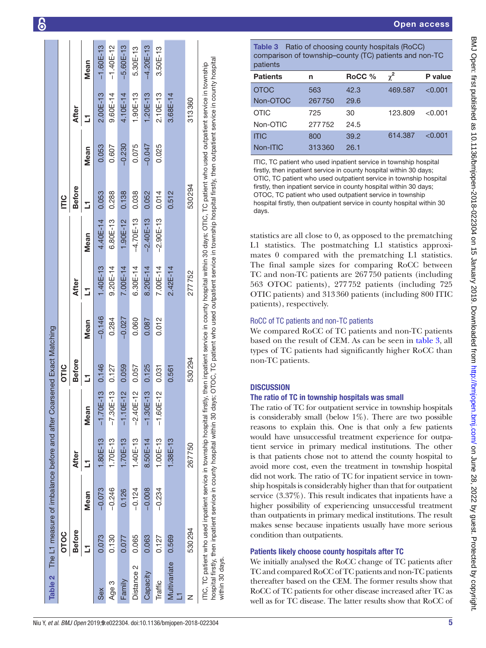|                 |               |             | Table 2 The L1 measure of imbalance before and after Coarsened Exact Matching                                                                                                                                                                                                                                                                                                                     |                   |               |          |              |             |               |             |              |               |
|-----------------|---------------|-------------|---------------------------------------------------------------------------------------------------------------------------------------------------------------------------------------------------------------------------------------------------------------------------------------------------------------------------------------------------------------------------------------------------|-------------------|---------------|----------|--------------|-------------|---------------|-------------|--------------|---------------|
|                 | OTOC          |             |                                                                                                                                                                                                                                                                                                                                                                                                   |                   | OTIC          |          |              |             | <u>ITIC</u>   |             |              |               |
|                 | <b>Before</b> |             | <b>After</b>                                                                                                                                                                                                                                                                                                                                                                                      |                   | <b>Before</b> |          | After        |             | <b>Before</b> |             | <b>After</b> |               |
|                 |               | <b>Mean</b> | S                                                                                                                                                                                                                                                                                                                                                                                                 | <b>Mean</b>       |               | Mean     | S            | <b>Mean</b> |               | <b>Mean</b> | Ľ            | <b>Mean</b>   |
| Sex             | 0.073         | $-0.073$    | $1.80E - 13$                                                                                                                                                                                                                                                                                                                                                                                      | $-1.70E-13$ 0.146 |               | $-0.146$ | $1.40E-13$   | 4.40E-14    | 0.053         | 0.053       | $2.00E-13$   | $-1.60E-13$   |
| Age 3           | 0.130         | $-0.246$    | $1.70E-13$                                                                                                                                                                                                                                                                                                                                                                                        | $-7.30E-13$       | 0.127         | 0.284    | $9.20E - 14$ | $6.80E-13$  | 0.288         | 0.607       | $9.60E - 14$ | $-1.40E-12$   |
| Family          | 0.077         | 0.126       | $1.70E-13$                                                                                                                                                                                                                                                                                                                                                                                        | $-1.10E-12$       | 0.059         | $-0.027$ | $7.00E-14$   | $1.90E-12$  | 0.138         | $-0.230$    | 4.10E-14     | $-5.60E-13$   |
| Distance 2      | 0.065         | $-0.124$    | $1.40E-13$                                                                                                                                                                                                                                                                                                                                                                                        | $-2.40E - 12$     | 0.057         | 0.060    | $6.30E - 14$ | $-4.70E-13$ | 0.038         | 0.075       | $1.90E - 13$ | $5.30E-13$    |
| Capacity        | 0.063         | $-0.008$    | 8.50E-14                                                                                                                                                                                                                                                                                                                                                                                          | $-1.30E-13$       | 0.125         | 0.087    | $8.20E - 14$ | $-2.40E-13$ | 0.052         | $-0.047$    | $1.20E-13$   | $-4.20E - 13$ |
| Traffic         | 0.127         | $-0.234$    | $1.00E - 13$                                                                                                                                                                                                                                                                                                                                                                                      | $-1.60E - 12$     | 0.031         | 0.012    | $7.00E-14$   | $-2.90E-13$ | 0.014         | 0.025       | $2.10E-13$   | $3.50E-13$    |
| Multivariate    | 0.569         |             | $1.38E - 13$                                                                                                                                                                                                                                                                                                                                                                                      |                   | 0.561         |          | $2.42E - 14$ |             | 0.512         |             | $3.68E - 14$ |               |
|                 | 530294        |             | 267750                                                                                                                                                                                                                                                                                                                                                                                            |                   | 530294        |          | 277752       |             | 530294        |             | 313360       |               |
| within 30 days. |               |             | hospital firstly, then inpatient service in county hospital within 30 days; OTOC, TC patient who used outpatient service in township hospital firstly, then outpatient service in county hospital<br>ITIC, TC patient who used inpatient service in township hospital firstly, then inpatient service in county hospital within 30 days; OTIC, TC patient who used outpatient service in township |                   |               |          |              |             |               |             |              |               |

<span id="page-4-1"></span>Table 3 Ratio of choosing county hospitals (RoCC) comparison of township–county (TC) patients and non-TC patients

| patients        |        |        |          |         |
|-----------------|--------|--------|----------|---------|
| <b>Patients</b> | n      | RoCC % | $\chi^2$ | P value |
| <b>OTOC</b>     | 563    | 42.3   | 469.587  | < 0.001 |
| Non-OTOC        | 267750 | 29.6   |          |         |
| <b>OTIC</b>     | 725    | 30     | 123.809  | < 0.001 |
| Non-OTIC        | 277752 | 24.5   |          |         |
| <b>ITIC</b>     | 800    | 39.2   | 614.387  | < 0.001 |
| Non-ITIC        | 313360 | 26.1   |          |         |
|                 |        |        |          |         |

ITIC, TC patient who used inpatient service in township hospital firstly, then inpatient service in county hospital within 30 days; OTIC, TC patient who used outpatient service in township hospital firstly, then inpatient service in county hospital within 30 days; OTOC, TC patient who used outpatient service in township hospital firstly, then outpatient service in county hospital within 30 days.

statistics are all close to 0, as opposed to the prematching L1 statistics. The postmatching L1 statistics approxi mates 0 compared with the prematching L1 statistics. The final sample sizes for comparing RoCC between TC and non-TC patients are 267750 patients (including 563 OTOC patients), 277752 patients (including 725 OTIC patients) and 313360 patients (including 800 ITIC patients), respectively.

## RoCC of TC patients and non-TC patients

We compared RoCC of TC patients and non-TC patients based on the result of CEM. As can be seen in [table](#page-4-1) 3, all types of TC patients had significantly higher RoCC than non-TC patients.

# **DISCUSSION**

# The ratio of TC in township hospitals was small

The ratio of TC for outpatient service in township hospitals is considerably small (below  $1\%$ ). There are two possible reasons to explain this. One is that only a few patients would have unsuccessful treatment experience for outpatient service in primary medical institutions. The other is that patients chose not to attend the county hospital to avoid more cost, even the treatment in township hospital did not work. The ratio of TC for inpatient service in township hospitals is considerably higher than that for outpatient service (3.37%). This result indicates that inpatients have a higher possibility of experiencing unsuccessful treatment than outpatients in primary medical institutions. The result makes sense because inpatients usually have more serious condition than outpatients.

# Patients likely choose county hospitals after T C

<span id="page-4-0"></span>We initially analysed the RoCC change of TC patients after TC and compared RoCC of TC patients and non-TC patients thereafter based on the CEM. The former results show that RoCC of TC patients for other disease increased after TC as well as for TC disease. The latter results show that RoCC of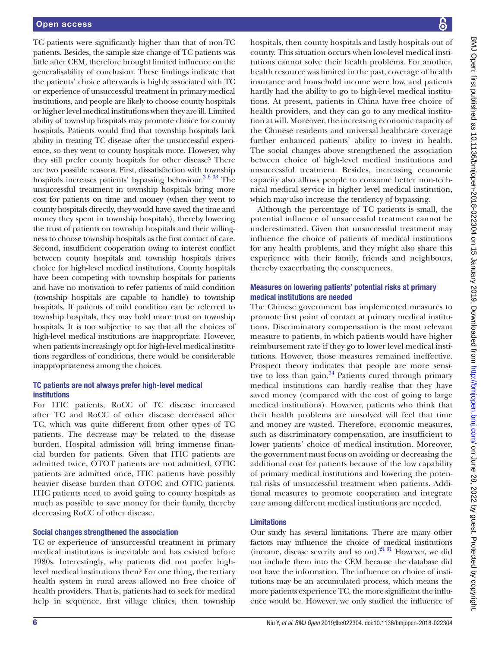TC patients were significantly higher than that of non-TC patients. Besides, the sample size change of TC patients was little after CEM, therefore brought limited influence on the generalisability of conclusion. These findings indicate that the patients' choice afterwards is highly associated with TC or experience of unsuccessful treatment in primary medical institutions, and people are likely to choose county hospitals or higher level medical institutions when they are ill. Limited ability of township hospitals may promote choice for county hospitals. Patients would find that township hospitals lack ability in treating TC disease after the unsuccessful experience, so they went to county hospitals more. However, why they still prefer county hospitals for other disease? There are two possible reasons. First, dissatisfaction with township hospitals increases patients' bypassing behaviour.<sup>3 6 33</sup> The unsuccessful treatment in township hospitals bring more cost for patients on time and money (when they went to county hospitals directly, they would have saved the time and money they spent in township hospitals), thereby lowering the trust of patients on township hospitals and their willingness to choose township hospitals as the first contact of care. Second, insufficient cooperation owing to interest conflict between county hospitals and township hospitals drives choice for high-level medical institutions. County hospitals have been competing with township hospitals for patients and have no motivation to refer patients of mild condition (township hospitals are capable to handle) to township hospitals. If patients of mild condition can be referred to township hospitals, they may hold more trust on township hospitals. It is too subjective to say that all the choices of high-level medical institutions are inappropriate. However, when patients increasingly opt for high-level medical institutions regardless of conditions, there would be considerable inappropriateness among the choices.

## TC patients are not always prefer high-level medical institutions

For ITIC patients, RoCC of TC disease increased after TC and RoCC of other disease decreased after TC, which was quite different from other types of TC patients. The decrease may be related to the disease burden. Hospital admission will bring immense financial burden for patients. Given that ITIC patients are admitted twice, OTOT patients are not admitted, OTIC patients are admitted once, ITIC patients have possibly heavier disease burden than OTOC and OTIC patients. ITIC patients need to avoid going to county hospitals as much as possible to save money for their family, thereby decreasing RoCC of other disease.

## Social changes strengthened the association

TC or experience of unsuccessful treatment in primary medical institutions is inevitable and has existed before 1980s. Interestingly, why patients did not prefer highlevel medical institutions then? For one thing, the tertiary health system in rural areas allowed no free choice of health providers. That is, patients had to seek for medical help in sequence, first village clinics, then township

hospitals, then county hospitals and lastly hospitals out of county. This situation occurs when low-level medical institutions cannot solve their health problems. For another, health resource was limited in the past, coverage of health insurance and household income were low, and patients hardly had the ability to go to high-level medical institutions. At present, patients in China have free choice of health providers, and they can go to any medical institution at will. Moreover, the increasing economic capacity of the Chinese residents and universal healthcare coverage further enhanced patients' ability to invest in health. The social changes above strengthened the association between choice of high-level medical institutions and unsuccessful treatment. Besides, increasing economic capacity also allows people to consume better non-technical medical service in higher level medical institution, which may also increase the tendency of bypassing.

Although the percentage of TC patients is small, the potential influence of unsuccessful treatment cannot be underestimated. Given that unsuccessful treatment may influence the choice of patients of medical institutions for any health problems, and they might also share this experience with their family, friends and neighbours, thereby exacerbating the consequences.

## Measures on lowering patients' potential risks at primary medical institutions are needed

The Chinese government has implemented measures to promote first point of contact at primary medical institutions. Discriminatory compensation is the most relevant measure to patients, in which patients would have higher reimbursement rate if they go to lower level medical institutions. However, those measures remained ineffective. Prospect theory indicates that people are more sensitive to loss than gain. $34$  Patients cured through primary medical institutions can hardly realise that they have saved money (compared with the cost of going to large medical institutions). However, patients who think that their health problems are unsolved will feel that time and money are wasted. Therefore, economic measures, such as discriminatory compensation, are insufficient to lower patients' choice of medical institution. Moreover, the government must focus on avoiding or decreasing the additional cost for patients because of the low capability of primary medical institutions and lowering the potential risks of unsuccessful treatment when patients. Additional measures to promote cooperation and integrate care among different medical institutions are needed.

## Limitations

Our study has several limitations. There are many other factors may influence the choice of medical institutions (income, disease severity and so on). $2431$  However, we did not include them into the CEM because the database did not have the information. The influence on choice of institutions may be an accumulated process, which means the more patients experience TC, the more significant the influence would be. However, we only studied the influence of